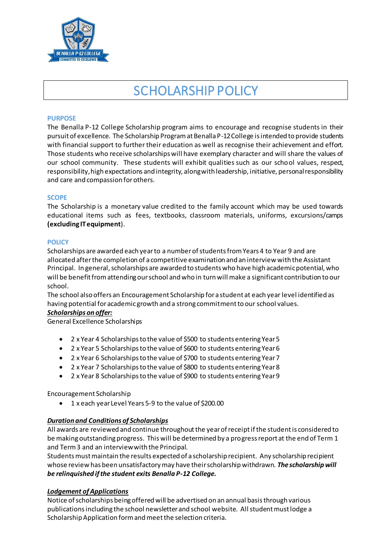

# SCHOLARSHIP POLICY

## **PURPOSE**

The Benalla P-12 College Scholarship program aims to encourage and recognise students in their pursuit of excellence. The Scholarship Program at Benalla P-12 College is intended to provide students with financial support to further their education as well as recognise their achievement and effort. Those students who receive scholarships will have exemplary character and will share the values of our school community. These students will exhibit qualities such as our school values, respect, responsibility, high expectations and integrity, along with leadership, initiative, personal responsibility and care and compassion for others.

#### **SCOPE**

The Scholarship is a monetary value credited to the family account which may be used towards educational items such as fees, textbooks, classroom materials, uniforms, excursions/camps **(excluding IT equipment**).

#### **POLICY**

Scholarships are awarded each year to a number of students from Years 4 to Year 9 and are allocated after the completion of a competitive examination and an interview with the Assistant Principal. In general, scholarships are awarded to students who have high academic potential, who will be benefit from attending our school and who in turn will make a significant contribution to our school.

The school also offers an Encouragement Scholarship for a student at each year level identified as having potential for academic growth and a strong commitment to our school values.

#### *Scholarships on offer:*

General Excellence Scholarships

- 2 x Year 4 Scholarships to the value of \$500 to students entering Year 5
- 2 x Year 5 Scholarships to the value of \$600 to students entering Year 6
- 2 x Year 6 Scholarships to the value of \$700 to students entering Year 7
- 2 x Year 7 Scholarships to the value of \$800 to students entering Year 8
- 2 x Year 8 Scholarships to the value of \$900 to students entering Year 9

Encouragement Scholarship

• 1 x each year Level Years 5-9 to the value of \$200.00

# *Duration and Conditions of Scholarships*

All awards are reviewed and continue throughout the year of receipt if the student is considered to be making outstanding progress. This will be determined by a progress report at the end of Term 1 and Term 3 and an interview with the Principal.

Students must maintain the results expected of a scholarship recipient. Any scholarship recipient whose review has been unsatisfactory may have their scholarship withdrawn. *The scholarship will be relinquished if the student exits Benalla P-12 College.*

# *Lodgement of Applications*

Notice of scholarships being offered will be advertised on an annual basis through various publications including the school newsletter and school website. All student must lodge a Scholarship Application form and meet the selection criteria.